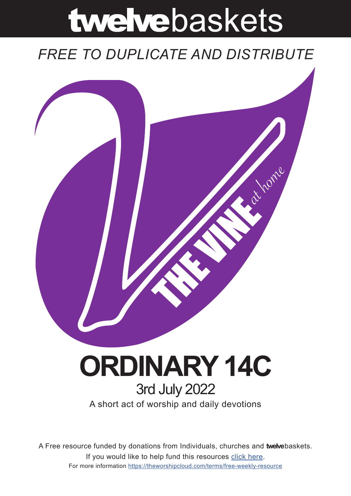# twelvebaskets

### *FREE TO DUPLICATE AND DISTRIBUTE*



## **ORDINARY 14C** 3rd July 2022

A short act of worship and daily devotions

A Free resource funded by donations from Individuals, churches and **twelve**baskets. If you would like to help fund this resources click here. For more information https://theworshipcloud.com/terms/free-weekly-resource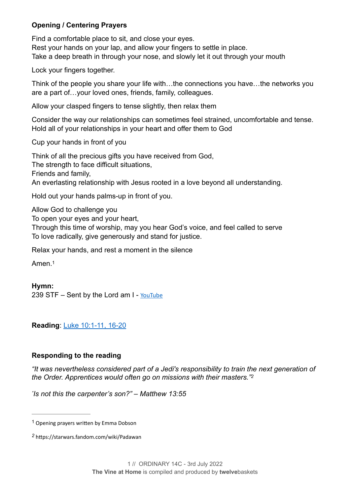#### **Opening / Centering Prayers**

Find a comfortable place to sit, and close your eyes. Rest your hands on your lap, and allow your fingers to settle in place. Take a deep breath in through your nose, and slowly let it out through your mouth

Lock your fingers together.

Think of the people you share your life with…the connections you have…the networks you are a part of…your loved ones, friends, family, colleagues.

Allow your clasped fingers to tense slightly, then relax them

Consider the way our relationships can sometimes feel strained, uncomfortable and tense. Hold all of your relationships in your heart and offer them to God

Cup your hands in front of you

Think of all the precious gifts you have received from God, The strength to face difficult situations. Friends and family, An everlasting relationship with Jesus rooted in a love beyond all understanding.

Hold out your hands palms-up in front of you.

Allow God to challenge you

To open your eyes and your heart,

Through this time of worship, may you hear God's voice, and feel called to serve To love radically, give generously and stand for justice.

Relax your hands, and rest a moment in the silence

<span id="page-1-2"></span>Amen<sup>[1](#page-1-0)</sup>

#### **Hymn:**

239 STF – Sent by the Lord am I - [YouTube](https://www.youtube.com/watch?v=2uN-oeDI7Ag)

**Reading**: [Luke 10:1-11, 16-20](https://www.biblegateway.com/passage/?search=Luke+10:1-11,+16-20&version=NRSVUE)

#### **Responding to the reading**

*"It was nevertheless considered part of a Jedi's responsibility to train the next generation of the Order. Apprentices would often go on missions with their masters."[2](#page-1-1)*

<span id="page-1-3"></span>*" Is not this the carpenter's son?" – Matthew 13:55*

<span id="page-1-0"></span><sup>&</sup>lt;sup>[1](#page-1-2)</sup> Opening prayers written by Emma Dobson

<span id="page-1-1"></span>https://starwars.fandom.com/wiki/Padawan *[2](#page-1-3)*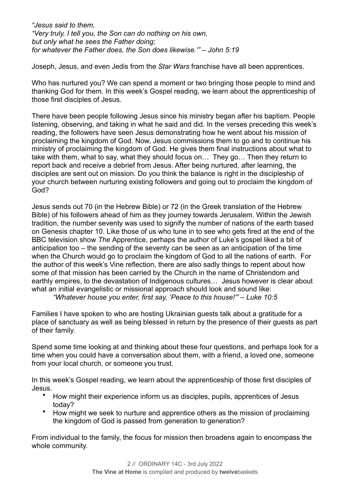*"Jesus said to them, "Very truly, I tell you, the Son can do nothing on his own, but only what he sees the Father doing; for whatever the Father does, the Son does likewise.'" – John 5:19*

Joseph, Jesus, and even Jedis from the *Star Wars* franchise have all been apprentices.

Who has nurtured you? We can spend a moment or two bringing those people to mind and thanking God for them. In this week's Gospel reading, we learn about the apprenticeship of those first disciples of Jesus.

There have been people following Jesus since his ministry began after his baptism. People listening, observing, and taking in what he said and did. In the verses preceding this week's reading, the followers have seen Jesus demonstrating how he went about his mission of proclaiming the kingdom of God. Now, Jesus commissions them to go and to continue his ministry of proclaiming the kingdom of God. He gives them final instructions about what to take with them, what to say, what they should focus on… They go… Then they return to report back and receive a debrief from Jesus. After being nurtured, after learning, the disciples are sent out on mission. Do you think the balance is right in the discipleship of your church between nurturing existing followers and going out to proclaim the kingdom of God?

Jesus sends out 70 (in the Hebrew Bible) or 72 (in the Greek translation of the Hebrew Bible) of his followers ahead of him as they journey towards Jerusalem. Within the Jewish tradition, the number seventy was used to signify the number of nations of the earth based on Genesis chapter 10. Like those of us who tune in to see who gets fired at the end of the BBC television show *The* Apprentice, perhaps the author of Luke's gospel liked a bit of anticipation too – the sending of the seventy can be seen as an anticipation of the time when the Church would go to proclaim the kingdom of God to all the nations of earth. For the author of this week's Vine reflection, there are also sadly things to repent about how some of that mission has been carried by the Church in the name of Christendom and earthly empires, to the devastation of Indigenous cultures… Jesus however is clear about what an initial evangelistic or missional approach should look and sound like:

*"Whatever house you enter, first say, 'Peace to this house!"' – Luke 10:5*

Families I have spoken to who are hosting Ukrainian guests talk about a gratitude for a place of sanctuary as well as being blessed in return by the presence of their guests as part of their family.

Spend some time looking at and thinking about these four questions, and perhaps look for a time when you could have a conversation about them, with a friend, a loved one, someone from your local church, or someone you trust.

In this week's Gospel reading, we learn about the apprenticeship of those first disciples of Jesus.

- How might their experience inform us as disciples, pupils, apprentices of Jesus today?
- How might we seek to nurture and apprentice others as the mission of proclaiming the kingdom of God is passed from generation to generation?

From individual to the family, the focus for mission then broadens again to encompass the whole community.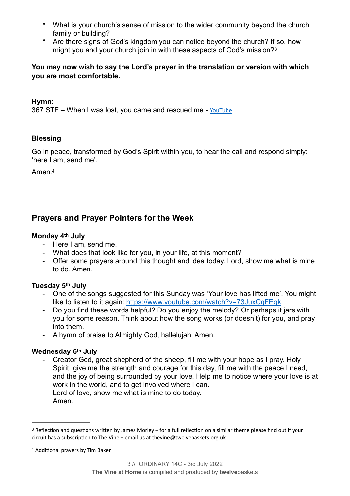- What is your church's sense of mission to the wider community beyond the church family or building?
- <span id="page-3-2"></span>• Are there signs of God's kingdom you can notice beyond the church? If so, how might you and your church join in with these aspects of God's mission?[3](#page-3-0)

#### **You may now wish to say the Lord's prayer in the translation or version with which you are most comfortable.**

#### **Hymn:**

367 STF – When I was lost, you came and rescued me - [YouTube](https://www.youtube.com/watch?v=73JuxCgFEgk)

#### **Blessing**

Go in peace, transformed by God's Spirit within you, to hear the call and respond simply: 'here I am, send me'.

<span id="page-3-3"></span>Amen.[4](#page-3-1)

#### **Prayers and Prayer Pointers for the Week**

#### **Monday 4th July**

- Here I am, send me.
- What does that look like for you, in your life, at this moment?
- Offer some prayers around this thought and idea today. Lord, show me what is mine to do. Amen.

#### **Tuesday 5th July**

- One of the songs suggested for this Sunday was 'Your love has lifted me'. You might like to listen to it again: <https://www.youtube.com/watch?v=73JuxCgFEgk>
- Do you find these words helpful? Do you enjoy the melody? Or perhaps it jars with you for some reason. Think about how the song works (or doesn't) for you, and pray into them.
- A hymn of praise to Almighty God, hallelujah. Amen.

#### **Wednesday 6th July**

Creator God, great shepherd of the sheep, fill me with your hope as I pray. Holy Spirit, give me the strength and courage for this day, fill me with the peace I need, and the joy of being surrounded by your love. Help me to notice where your love is at work in the world, and to get involved where I can. Lord of love, show me what is mine to do today. Amen.

<span id="page-3-0"></span> $3$  Reflection and questions written by James Morley – for a full reflection on a similar theme please find out if your circuit has a subscription to The Vine – email us at thevine@twelvebaskets.org.uk

<span id="page-3-1"></span><sup>&</sup>lt;sup>[4](#page-3-3)</sup> Additional prayers by Tim Baker